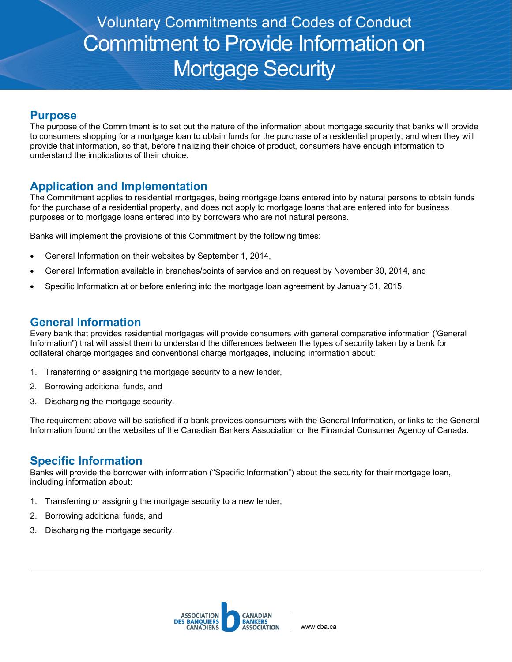# Voluntary Commitments and Codes of Conduct Commitment to Provide Information on Mortgage Security

#### **Purpose**

The purpose of the Commitment is to set out the nature of the information about mortgage security that banks will provide to consumers shopping for a mortgage loan to obtain funds for the purchase of a residential property, and when they will provide that information, so that, before finalizing their choice of product, consumers have enough information to understand the implications of their choice.

## **Application and Implementation**

The Commitment applies to residential mortgages, being mortgage loans entered into by natural persons to obtain funds for the purchase of a residential property, and does not apply to mortgage loans that are entered into for business purposes or to mortgage loans entered into by borrowers who are not natural persons.

Banks will implement the provisions of this Commitment by the following times:

- General Information on their websites by September 1, 2014,
- General Information available in branches/points of service and on request by November 30, 2014, and
- Specific Information at or before entering into the mortgage loan agreement by January 31, 2015.

#### **General Information**

Every bank that provides residential mortgages will provide consumers with general comparative information ('General Information") that will assist them to understand the differences between the types of security taken by a bank for collateral charge mortgages and conventional charge mortgages, including information about:

- 1. Transferring or assigning the mortgage security to a new lender,
- 2. Borrowing additional funds, and
- 3. Discharging the mortgage security.

The requirement above will be satisfied if a bank provides consumers with the General Information, or links to the General Information found on the websites of the Canadian Bankers Association or the Financial Consumer Agency of Canada.

## **Specific Information**

Banks will provide the borrower with information ("Specific Information") about the security for their mortgage loan, including information about:

- 1. Transferring or assigning the mortgage security to a new lender,
- 2. Borrowing additional funds, and
- 3. Discharging the mortgage security.